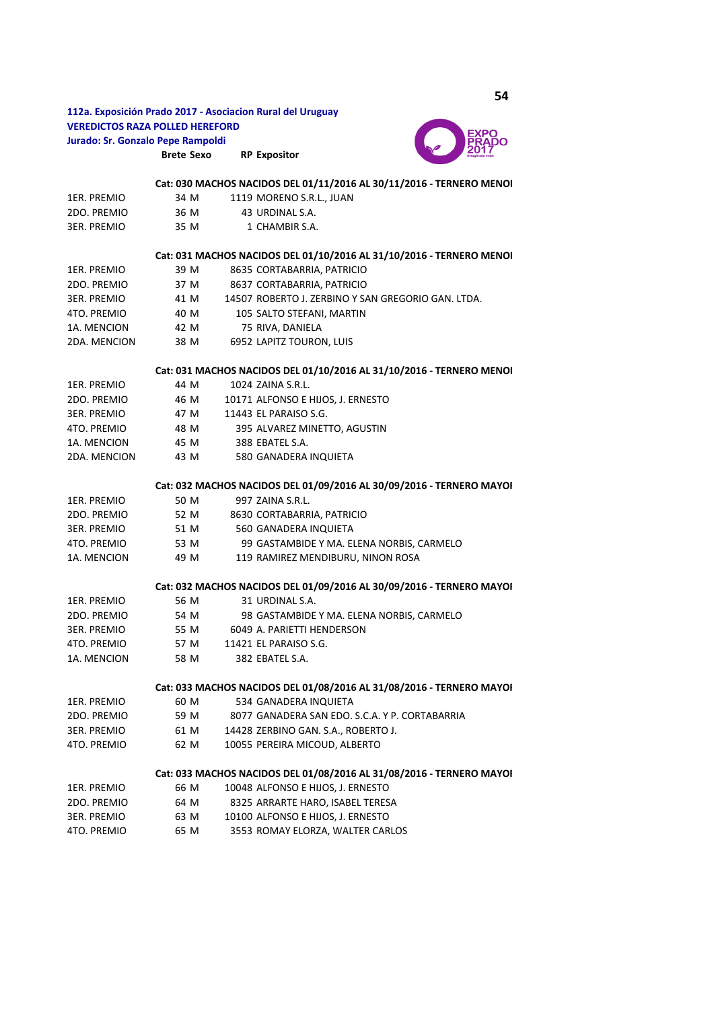**Brete Sexo RP Expositor 112a. Exposición Prado 2017 - Asociacion Rural del Uruguay VEREDICTOS RAZA POLLED HEREFORD Jurado: Sr. Gonzalo Pepe Rampoldi** 



|                                                                      |      |  | Cat: 030 MACHOS NACIDOS DEL 01/11/2016 AL 30/11/2016 - TERNERO MENOI |  |  |  |  |
|----------------------------------------------------------------------|------|--|----------------------------------------------------------------------|--|--|--|--|
| 1ER. PREMIO                                                          | 34 M |  | 1119 MORENO S.R.L., JUAN                                             |  |  |  |  |
| 2DO. PREMIO                                                          | 36 M |  | 43 URDINAL S.A.                                                      |  |  |  |  |
| 3ER. PREMIO                                                          | 35 M |  | 1 CHAMBIR S.A.                                                       |  |  |  |  |
|                                                                      |      |  | Cat: 031 MACHOS NACIDOS DEL 01/10/2016 AL 31/10/2016 - TERNERO MENOI |  |  |  |  |
| 1ER. PREMIO                                                          | 39 M |  | 8635 CORTABARRIA, PATRICIO                                           |  |  |  |  |
| 2DO. PREMIO                                                          | 37 M |  | 8637 CORTABARRIA, PATRICIO                                           |  |  |  |  |
| 3ER. PREMIO                                                          | 41 M |  | 14507 ROBERTO J. ZERBINO Y SAN GREGORIO GAN. LTDA.                   |  |  |  |  |
| 4TO. PREMIO                                                          | 40 M |  | 105 SALTO STEFANI, MARTIN                                            |  |  |  |  |
| 1A. MENCION                                                          | 42 M |  | 75 RIVA, DANIELA                                                     |  |  |  |  |
| 2DA. MENCION                                                         | 38 M |  | 6952 LAPITZ TOURON, LUIS                                             |  |  |  |  |
| Cat: 031 MACHOS NACIDOS DEL 01/10/2016 AL 31/10/2016 - TERNERO MENOI |      |  |                                                                      |  |  |  |  |
| 1ER. PREMIO                                                          | 44 M |  | 1024 ZAINA S.R.L.                                                    |  |  |  |  |
| 2DO. PREMIO                                                          | 46 M |  | 10171 ALFONSO E HIJOS, J. ERNESTO                                    |  |  |  |  |
| 3ER. PREMIO                                                          | 47 M |  | 11443 EL PARAISO S.G.                                                |  |  |  |  |
| 4TO. PREMIO                                                          | 48 M |  | 395 ALVAREZ MINETTO, AGUSTIN                                         |  |  |  |  |
| 1A. MENCION                                                          | 45 M |  | 388 EBATEL S.A.                                                      |  |  |  |  |
| 2DA. MENCION                                                         | 43 M |  | 580 GANADERA INQUIETA                                                |  |  |  |  |
|                                                                      |      |  | Cat: 032 MACHOS NACIDOS DEL 01/09/2016 AL 30/09/2016 - TERNERO MAYOI |  |  |  |  |
| 1ER. PREMIO                                                          | 50 M |  | 997 ZAINA S.R.L.                                                     |  |  |  |  |
| 2DO. PREMIO                                                          | 52 M |  | 8630 CORTABARRIA, PATRICIO                                           |  |  |  |  |
| 3ER. PREMIO                                                          | 51 M |  | 560 GANADERA INQUIETA                                                |  |  |  |  |
| 4TO. PREMIO                                                          | 53 M |  | 99 GASTAMBIDE Y MA. ELENA NORBIS, CARMELO                            |  |  |  |  |
| 1A. MENCION                                                          | 49 M |  | 119 RAMIREZ MENDIBURU, NINON ROSA                                    |  |  |  |  |
|                                                                      |      |  | Cat: 032 MACHOS NACIDOS DEL 01/09/2016 AL 30/09/2016 - TERNERO MAYOI |  |  |  |  |
| 1ER. PREMIO                                                          | 56 M |  | 31 URDINAL S.A.                                                      |  |  |  |  |
| 2DO. PREMIO                                                          | 54 M |  | 98 GASTAMBIDE Y MA. ELENA NORBIS, CARMELO                            |  |  |  |  |
| 3ER. PREMIO                                                          | 55 M |  | 6049 A. PARIETTI HENDERSON                                           |  |  |  |  |
| 4TO. PREMIO                                                          | 57 M |  | 11421 EL PARAISO S.G.                                                |  |  |  |  |
| 1A. MENCION                                                          | 58 M |  | 382 EBATEL S.A.                                                      |  |  |  |  |
|                                                                      |      |  | Cat: 033 MACHOS NACIDOS DEL 01/08/2016 AL 31/08/2016 - TERNERO MAYOI |  |  |  |  |
| 1ER. PREMIO                                                          | 60 M |  | 534 GANADERA INQUIETA                                                |  |  |  |  |
| 2DO. PREMIO                                                          | 59 M |  | 8077 GANADERA SAN EDO. S.C.A. Y P. CORTABARRIA                       |  |  |  |  |
| <b>3ER. PREMIO</b>                                                   | 61 M |  | 14428 ZERBINO GAN. S.A., ROBERTO J.                                  |  |  |  |  |
| 4TO. PREMIO                                                          | 62 M |  | 10055 PEREIRA MICOUD, ALBERTO                                        |  |  |  |  |
|                                                                      |      |  | Cat: 033 MACHOS NACIDOS DEL 01/08/2016 AL 31/08/2016 - TERNERO MAYOI |  |  |  |  |
| 1ER. PREMIO                                                          | 66 M |  | 10048 ALFONSO E HIJOS, J. ERNESTO                                    |  |  |  |  |
| 2DO. PREMIO                                                          | 64 M |  | 8325 ARRARTE HARO, ISABEL TERESA                                     |  |  |  |  |
| 3ER. PREMIO                                                          | 63 M |  | 10100 ALFONSO E HIJOS, J. ERNESTO                                    |  |  |  |  |
| 4TO. PREMIO                                                          | 65 M |  | 3553 ROMAY ELORZA, WALTER CARLOS                                     |  |  |  |  |

**54**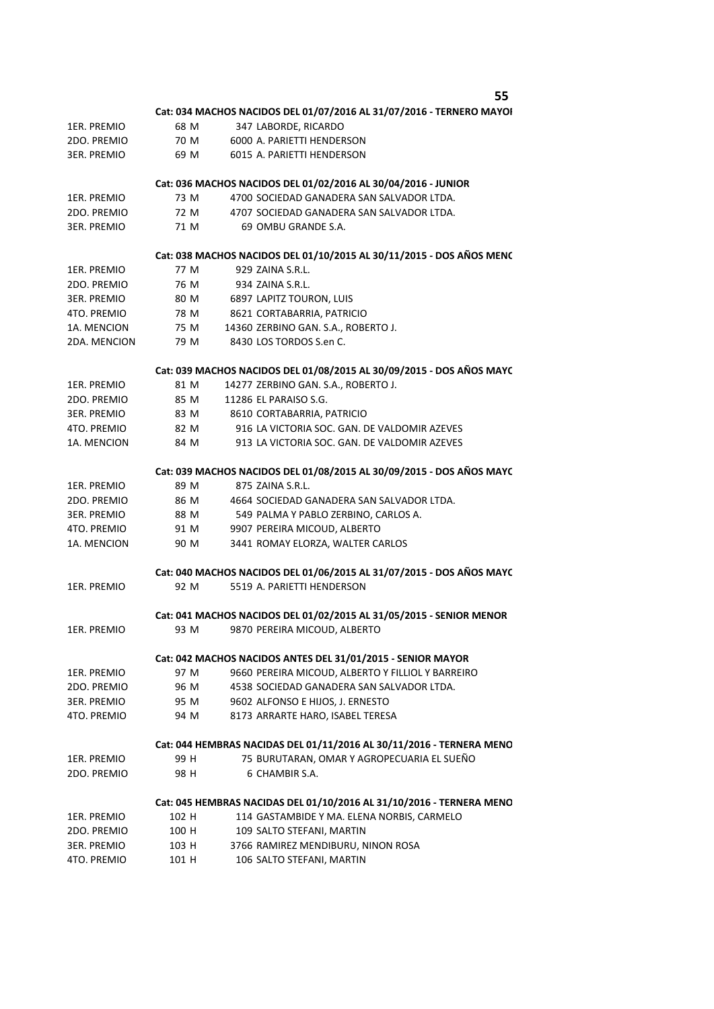|                    |       | 55                                                                   |
|--------------------|-------|----------------------------------------------------------------------|
|                    |       | Cat: 034 MACHOS NACIDOS DEL 01/07/2016 AL 31/07/2016 - TERNERO MAYOI |
| 1ER. PREMIO        | 68 M  | 347 LABORDE, RICARDO                                                 |
| 2DO. PREMIO        | 70 M  | 6000 A. PARIETTI HENDERSON                                           |
| 3ER. PREMIO        | 69 M  | 6015 A. PARIETTI HENDERSON                                           |
|                    |       | Cat: 036 MACHOS NACIDOS DEL 01/02/2016 AL 30/04/2016 - JUNIOR        |
| 1ER. PREMIO        | 73 M  | 4700 SOCIEDAD GANADERA SAN SALVADOR LTDA.                            |
| 2DO. PREMIO        | 72 M  | 4707 SOCIEDAD GANADERA SAN SALVADOR LTDA.                            |
| <b>3ER. PREMIO</b> | 71 M  | 69 OMBU GRANDE S.A.                                                  |
|                    |       | Cat: 038 MACHOS NACIDOS DEL 01/10/2015 AL 30/11/2015 - DOS AÑOS MENC |
| 1ER. PREMIO        | 77 M  | 929 ZAINA S.R.L.                                                     |
| 2DO. PREMIO        | 76 M  | 934 ZAINA S.R.L.                                                     |
| 3ER. PREMIO        | 80 M  | 6897 LAPITZ TOURON, LUIS                                             |
| 4TO. PREMIO        | 78 M  | 8621 CORTABARRIA, PATRICIO                                           |
| 1A. MENCION        | 75 M  | 14360 ZERBINO GAN. S.A., ROBERTO J.                                  |
| 2DA. MENCION       | 79 M  | 8430 LOS TORDOS S.en C.                                              |
|                    |       | Cat: 039 MACHOS NACIDOS DEL 01/08/2015 AL 30/09/2015 - DOS AÑOS MAYC |
| 1ER. PREMIO        | 81 M  | 14277 ZERBINO GAN. S.A., ROBERTO J.                                  |
| 2DO. PREMIO        | 85 M  | 11286 EL PARAISO S.G.                                                |
| 3ER. PREMIO        | 83 M  | 8610 CORTABARRIA, PATRICIO                                           |
| 4TO. PREMIO        | 82 M  | 916 LA VICTORIA SOC. GAN. DE VALDOMIR AZEVES                         |
| 1A. MENCION        | 84 M  | 913 LA VICTORIA SOC. GAN. DE VALDOMIR AZEVES                         |
|                    |       | Cat: 039 MACHOS NACIDOS DEL 01/08/2015 AL 30/09/2015 - DOS AÑOS MAYC |
| 1ER. PREMIO        | 89 M  | 875 ZAINA S.R.L.                                                     |
| 2DO. PREMIO        | 86 M  | 4664 SOCIEDAD GANADERA SAN SALVADOR LTDA.                            |
| <b>3ER. PREMIO</b> | 88 M  | 549 PALMA Y PABLO ZERBINO, CARLOS A.                                 |
| 4TO. PREMIO        | 91 M  | 9907 PEREIRA MICOUD, ALBERTO                                         |
| 1A. MENCION        | 90 M  | 3441 ROMAY ELORZA, WALTER CARLOS                                     |
|                    |       | Cat: 040 MACHOS NACIDOS DEL 01/06/2015 AL 31/07/2015 - DOS AÑOS MAYC |
| 1ER. PREMIO        | 92 M  | 5519 A. PARIETTI HENDERSON                                           |
|                    |       | Cat: 041 MACHOS NACIDOS DEL 01/02/2015 AL 31/05/2015 - SENIOR MENOR  |
| 1ER. PREMIO        | 93 M  | 9870 PEREIRA MICOUD, ALBERTO                                         |
|                    |       | Cat: 042 MACHOS NACIDOS ANTES DEL 31/01/2015 - SENIOR MAYOR          |
| 1ER. PREMIO        | 97 M  | 9660 PEREIRA MICOUD, ALBERTO Y FILLIOL Y BARREIRO                    |
| 2DO. PREMIO        | 96 M  | 4538 SOCIEDAD GANADERA SAN SALVADOR LTDA.                            |
| 3ER. PREMIO        | 95 M  | 9602 ALFONSO E HIJOS, J. ERNESTO                                     |
| 4TO. PREMIO        | 94 M  | 8173 ARRARTE HARO, ISABEL TERESA                                     |
|                    |       | Cat: 044 HEMBRAS NACIDAS DEL 01/11/2016 AL 30/11/2016 - TERNERA MENO |
| 1ER. PREMIO        | 99 H  | 75 BURUTARAN, OMAR Y AGROPECUARIA EL SUEÑO                           |
| 2DO. PREMIO        | 98 H  | 6 CHAMBIR S.A.                                                       |
|                    |       | Cat: 045 HEMBRAS NACIDAS DEL 01/10/2016 AL 31/10/2016 - TERNERA MENO |
| 1ER. PREMIO        | 102 H | 114 GASTAMBIDE Y MA. ELENA NORBIS, CARMELO                           |
| 2DO. PREMIO        | 100 H | 109 SALTO STEFANI, MARTIN                                            |
| 3ER. PREMIO        | 103 H | 3766 RAMIREZ MENDIBURU, NINON ROSA                                   |
|                    |       |                                                                      |

4TO. PREMIO 101 H 106 SALTO STEFANI, MARTIN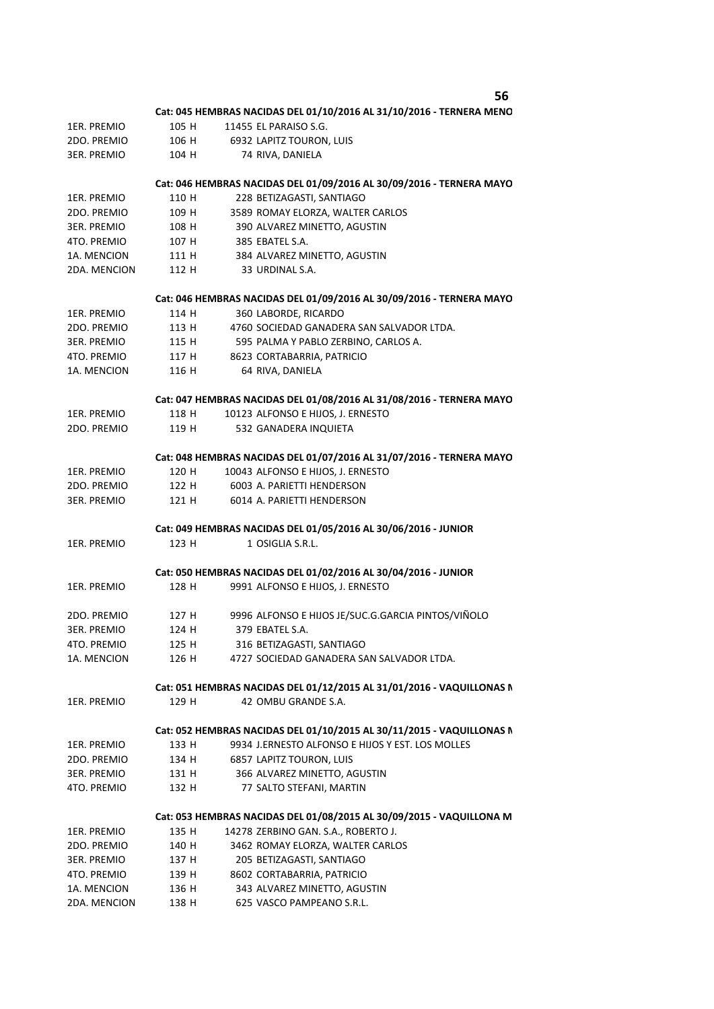**56**

|              |       | эo                                                                                                                        |
|--------------|-------|---------------------------------------------------------------------------------------------------------------------------|
|              |       | Cat: 045 HEMBRAS NACIDAS DEL 01/10/2016 AL 31/10/2016 - TERNERA MENO                                                      |
| 1ER. PREMIO  | 105 H | 11455 EL PARAISO S.G.                                                                                                     |
| 2DO. PREMIO  | 106 H | 6932 LAPITZ TOURON, LUIS                                                                                                  |
| 3ER. PREMIO  | 104 H | 74 RIVA, DANIELA                                                                                                          |
|              |       | Cat: 046 HEMBRAS NACIDAS DEL 01/09/2016 AL 30/09/2016 - TERNERA MAYO                                                      |
| 1ER. PREMIO  | 110 H | 228 BETIZAGASTI, SANTIAGO                                                                                                 |
| 2DO. PREMIO  | 109 H | 3589 ROMAY ELORZA, WALTER CARLOS                                                                                          |
| 3ER. PREMIO  | 108 H | 390 ALVAREZ MINETTO, AGUSTIN                                                                                              |
| 4TO. PREMIO  | 107 H | 385 EBATEL S.A.                                                                                                           |
| 1A. MENCION  | 111 H | 384 ALVAREZ MINETTO, AGUSTIN                                                                                              |
| 2DA. MENCION | 112 H | 33 URDINAL S.A.                                                                                                           |
|              |       | Cat: 046 HEMBRAS NACIDAS DEL 01/09/2016 AL 30/09/2016 - TERNERA MAYO                                                      |
| 1ER. PREMIO  | 114 H | 360 LABORDE, RICARDO                                                                                                      |
| 2DO. PREMIO  | 113 H | 4760 SOCIEDAD GANADERA SAN SALVADOR LTDA.                                                                                 |
| 3ER. PREMIO  | 115 H | 595 PALMA Y PABLO ZERBINO, CARLOS A.                                                                                      |
| 4TO. PREMIO  | 117 H | 8623 CORTABARRIA, PATRICIO                                                                                                |
| 1A. MENCION  | 116 H | 64 RIVA, DANIELA                                                                                                          |
|              |       |                                                                                                                           |
|              |       | Cat: 047 HEMBRAS NACIDAS DEL 01/08/2016 AL 31/08/2016 - TERNERA MAYO                                                      |
| 1ER. PREMIO  | 118 H | 10123 ALFONSO E HIJOS, J. ERNESTO                                                                                         |
| 2DO. PREMIO  | 119 H | 532 GANADERA INQUIETA                                                                                                     |
|              |       | Cat: 048 HEMBRAS NACIDAS DEL 01/07/2016 AL 31/07/2016 - TERNERA MAYO                                                      |
| 1ER. PREMIO  | 120 H | 10043 ALFONSO E HIJOS, J. ERNESTO                                                                                         |
| 2DO. PREMIO  | 122 H | 6003 A. PARIETTI HENDERSON                                                                                                |
| 3ER. PREMIO  | 121 H | 6014 A. PARIETTI HENDERSON                                                                                                |
|              |       | Cat: 049 HEMBRAS NACIDAS DEL 01/05/2016 AL 30/06/2016 - JUNIOR                                                            |
| 1ER. PREMIO  | 123 H | 1 OSIGLIA S.R.L.                                                                                                          |
|              |       | Cat: 050 HEMBRAS NACIDAS DEL 01/02/2016 AL 30/04/2016 - JUNIOR                                                            |
| 1ER. PREMIO  | 128 H | 9991 ALFONSO E HIJOS, J. ERNESTO                                                                                          |
| 2DO. PREMIO  | 127 H | 9996 ALFONSO E HIJOS JE/SUC.G.GARCIA PINTOS/VIÑOLO                                                                        |
| 3ER. PREMIO  | 124 H | 379 EBATEL S.A.                                                                                                           |
| 4TO. PREMIO  | 125 H | 316 BETIZAGASTI, SANTIAGO                                                                                                 |
| 1A. MENCION  | 126 H | 4727 SOCIEDAD GANADERA SAN SALVADOR LTDA.                                                                                 |
|              |       | Cat: 051 HEMBRAS NACIDAS DEL 01/12/2015 AL 31/01/2016 - VAQUILLONAS N                                                     |
| 1ER. PREMIO  | 129 H | 42 OMBU GRANDE S.A.                                                                                                       |
|              |       |                                                                                                                           |
|              | 133 H | Cat: 052 HEMBRAS NACIDAS DEL 01/10/2015 AL 30/11/2015 - VAQUILLONAS N<br>9934 J.ERNESTO ALFONSO E HIJOS Y EST. LOS MOLLES |
| 1ER. PREMIO  |       |                                                                                                                           |
| 2DO. PREMIO  | 134 H | <b>6857 LAPITZ TOURON, LUIS</b>                                                                                           |
| 3ER. PREMIO  | 131 H | 366 ALVAREZ MINETTO, AGUSTIN                                                                                              |
| 4TO. PREMIO  | 132 H | 77 SALTO STEFANI, MARTIN                                                                                                  |
|              |       | Cat: 053 HEMBRAS NACIDAS DEL 01/08/2015 AL 30/09/2015 - VAQUILLONA M                                                      |
| 1ER. PREMIO  | 135 H | 14278 ZERBINO GAN. S.A., ROBERTO J.                                                                                       |
| 2DO. PREMIO  | 140 H | 3462 ROMAY ELORZA, WALTER CARLOS                                                                                          |
| 3ER. PREMIO  | 137 H | 205 BETIZAGASTI, SANTIAGO                                                                                                 |
| 4TO. PREMIO  | 139 H | 8602 CORTABARRIA, PATRICIO                                                                                                |
| 1A. MENCION  | 136 H | 343 ALVAREZ MINETTO, AGUSTIN                                                                                              |
| 2DA. MENCION | 138 H | 625 VASCO PAMPEANO S.R.L.                                                                                                 |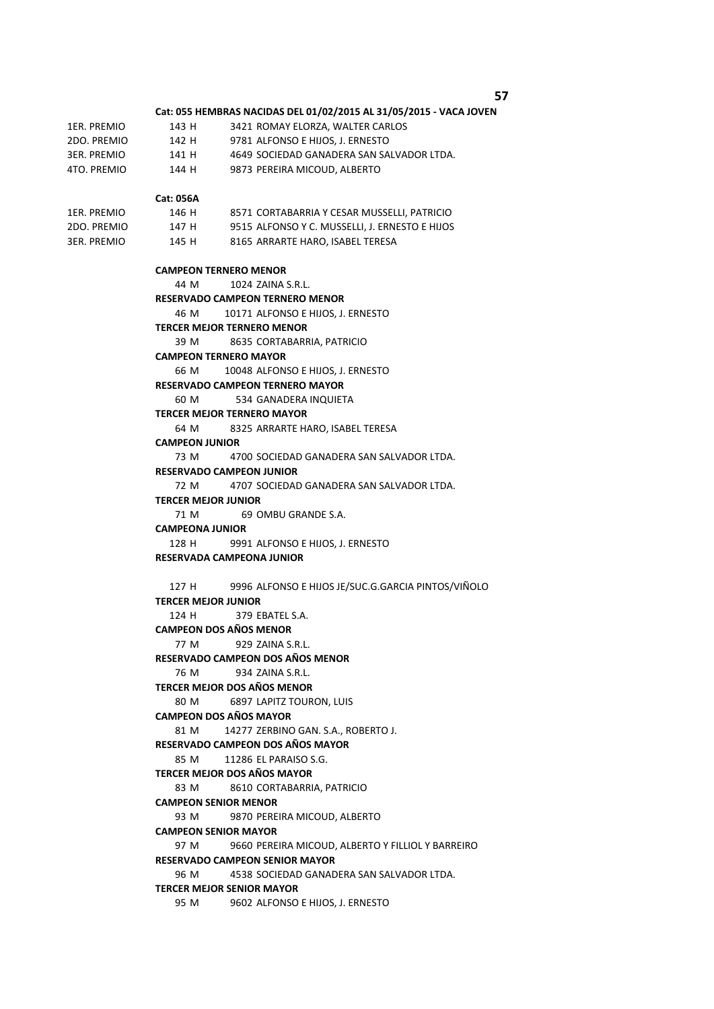**57**

# **Cat: 055 HEMBRAS NACIDAS DEL 01/02/2015 AL 31/05/2015 - VACA JOVEN**

| 1ER. PREMIO | 143 H | 3421 ROMAY ELORZA, WALTER CARLOS          |
|-------------|-------|-------------------------------------------|
| 2DO. PREMIO | 142 H | 9781 ALFONSO E HIJOS. J. ERNESTO          |
| 3ER. PREMIO | 141 H | 4649 SOCIEDAD GANADERA SAN SALVADOR LTDA. |
| 4TO. PREMIO | 144 H | 9873 PEREIRA MICOUD, ALBERTO              |

#### **Cat: 056A**

| 1ER. PREMIO | 146 H | 8571 CORTABARRIA Y CESAR MUSSELLI, PATRICIO    |
|-------------|-------|------------------------------------------------|
| 2DO. PREMIO | 147 H | 9515 ALFONSO Y C. MUSSELLI. J. ERNESTO E HIJOS |
| 3ER. PREMIO | 145 H | 8165 ARRARTE HARO. ISABEL TERESA               |

### **CAMPEON TERNERO MENOR**

44 M 1024 ZAINA S.R.L.

**RESERVADO CAMPEON TERNERO MENOR** 

#### 46 M 10171 ALFONSO E HIJOS, J. ERNESTO

```
TERCER MEJOR TERNERO MENOR
```
39 M 8635 CORTABARRIA, PATRICIO

### **CAMPEON TERNERO MAYOR**

66 M 10048 ALFONSO E HIJOS, J. ERNESTO

## **RESERVADO CAMPEON TERNERO MAYOR**

60 M 534 GANADERA INQUIETA

## **TERCER MEJOR TERNERO MAYOR**

64 M 8325 ARRARTE HARO, ISABEL TERESA

### **CAMPEON JUNIOR**

73 M 4700 SOCIEDAD GANADERA SAN SALVADOR LTDA. 72 M 4707 SOCIEDAD GANADERA SAN SALVADOR LTDA. 71 M 69 OMBU GRANDE S.A. 128 H 9991 ALFONSO E HIJOS, J. ERNESTO **RESERVADO CAMPEON JUNIOR TERCER MEJOR JUNIOR CAMPEONA JUNIOR** 

### **RESERVADA CAMPEONA JUNIOR**

```
127 H 9996 ALFONSO E HIJOS JE/SUC.G.GARCIA PINTOS/VIÑOLO
  124 H 379 EBATEL S.A.
   77 M 929 ZAINA S.R.L.
   76 M 934 ZAINA S.R.L.
   80 M 6897 LAPITZ TOURON, LUIS
   81 M 14277 ZERBINO GAN. S.A., ROBERTO J.
   85 M 11286 EL PARAISO S.G.
   83 M 8610 CORTABARRIA, PATRICIO
   93 M 9870 PEREIRA MICOUD, ALBERTO
   97 M 9660 PEREIRA MICOUD, ALBERTO Y FILLIOL Y BARREIRO
   96 M 4538 SOCIEDAD GANADERA SAN SALVADOR LTDA.
RESERVADO CAMPEON DOS AÑOS MAYOR 
TERCER MEJOR DOS AÑOS MAYOR 
CAMPEON SENIOR MENOR 
CAMPEON SENIOR MAYOR 
RESERVADO CAMPEON SENIOR MAYOR 
TERCER MEJOR JUNIOR 
CAMPEON DOS AÑOS MENOR 
RESERVADO CAMPEON DOS AÑOS MENOR 
TERCER MEJOR DOS AÑOS MENOR 
CAMPEON DOS AÑOS MAYOR
```
# **TERCER MEJOR SENIOR MAYOR**

95 M 9602 ALFONSO E HIJOS, J. ERNESTO